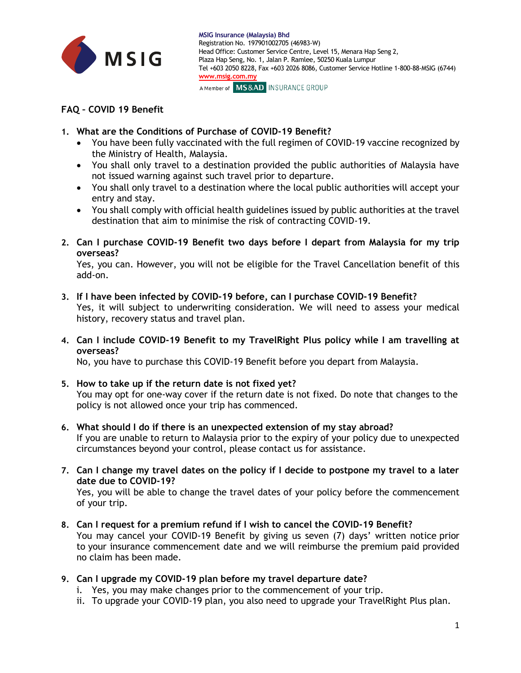

## **FAQ – COVID 19 Benefit**

- **1. What are the Conditions of Purchase of COVID-19 Benefit?**
	- You have been fully vaccinated with the full regimen of COVID-19 vaccine recognized by the Ministry of Health, Malaysia.
	- You shall only travel to a destination provided the public authorities of Malaysia have not issued warning against such travel prior to departure.
	- You shall only travel to a destination where the local public authorities will accept your entry and stay.
	- You shall comply with official health guidelines issued by public authorities at the travel destination that aim to minimise the risk of contracting COVID-19.
- **2. Can I purchase COVID-19 Benefit two days before I depart from Malaysia for my trip overseas?**

Yes, you can. However, you will not be eligible for the Travel Cancellation benefit of this add-on.

- **3. If I have been infected by COVID-19 before, can I purchase COVID-19 Benefit?** Yes, it will subject to underwriting consideration. We will need to assess your medical history, recovery status and travel plan.
- **4. Can I include COVID-19 Benefit to my TravelRight Plus policy while I am travelling at overseas?**

No, you have to purchase this COVID-19 Benefit before you depart from Malaysia.

- **5. How to take up if the return date is not fixed yet?** You may opt for one-way cover if the return date is not fixed. Do note that changes to the policy is not allowed once your trip has commenced.
- **6. What should I do if there is an unexpected extension of my stay abroad?** If you are unable to return to Malaysia prior to the expiry of your policy due to unexpected circumstances beyond your control, please contact us for assistance.
- **7. Can I change my travel dates on the policy if I decide to postpone my travel to a later date due to COVID-19?**

Yes, you will be able to change the travel dates of your policy before the commencement of your trip.

- **8. Can I request for a premium refund if I wish to cancel the COVID-19 Benefit?** You may cancel your COVID-19 Benefit by giving us seven (7) days' written notice prior to your insurance commencement date and we will reimburse the premium paid provided no claim has been made.
- **9. Can I upgrade my COVID-19 plan before my travel departure date?**
	- i. Yes, you may make changes prior to the commencement of your trip.
	- ii. To upgrade your COVID-19 plan, you also need to upgrade your TravelRight Plus plan.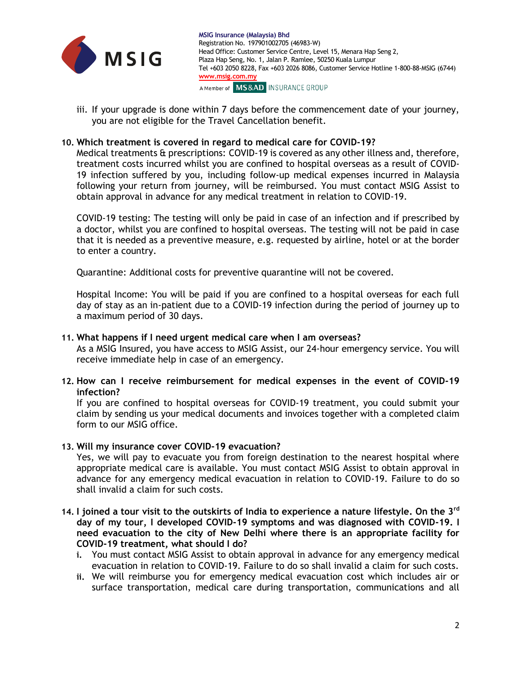

iii. If your upgrade is done within 7 days before the commencement date of your journey, you are not eligible for the Travel Cancellation benefit.

## **10. Which treatment is covered in regard to medical care for COVID-19?**

Medical treatments & prescriptions: COVID-19 is covered as any other illness and, therefore, treatment costs incurred whilst you are confined to hospital overseas as a result of COVID-19 infection suffered by you, including follow-up medical expenses incurred in Malaysia following your return from journey, will be reimbursed. You must contact MSIG Assist to obtain approval in advance for any medical treatment in relation to COVID-19.

COVID-19 testing: The testing will only be paid in case of an infection and if prescribed by a doctor, whilst you are confined to hospital overseas. The testing will not be paid in case that it is needed as a preventive measure, e.g. requested by airline, hotel or at the border to enter a country.

Quarantine: Additional costs for preventive quarantine will not be covered.

Hospital Income: You will be paid if you are confined to a hospital overseas for each full day of stay as an in-patient due to a COVID-19 infection during the period of journey up to a maximum period of 30 days.

## **11. What happens if I need urgent medical care when I am overseas?**

As a MSIG Insured, you have access to MSIG Assist, our 24-hour emergency service. You will receive immediate help in case of an emergency.

**12. How can I receive reimbursement for medical expenses in the event of COVID-19 infection?**

If you are confined to hospital overseas for COVID-19 treatment, you could submit your claim by sending us your medical documents and invoices together with a completed claim form to our MSIG office.

## **13. Will my insurance cover COVID-19 evacuation?**

Yes, we will pay to evacuate you from foreign destination to the nearest hospital where appropriate medical care is available. You must contact MSIG Assist to obtain approval in advance for any emergency medical evacuation in relation to COVID-19. Failure to do so shall invalid a claim for such costs.

- **14. I joined a tour visit to the outskirts of India to experience a nature lifestyle. On the 3rd day of my tour, I developed COVID-19 symptoms and was diagnosed with COVID-19. I need evacuation to the city of New Delhi where there is an appropriate facility for COVID-19 treatment, what should I do?**
	- **i.** You must contact MSIG Assist to obtain approval in advance for any emergency medical evacuation in relation to COVID-19. Failure to do so shall invalid a claim for such costs.
	- **ii.** We will reimburse you for emergency medical evacuation cost which includes air or surface transportation, medical care during transportation, communications and all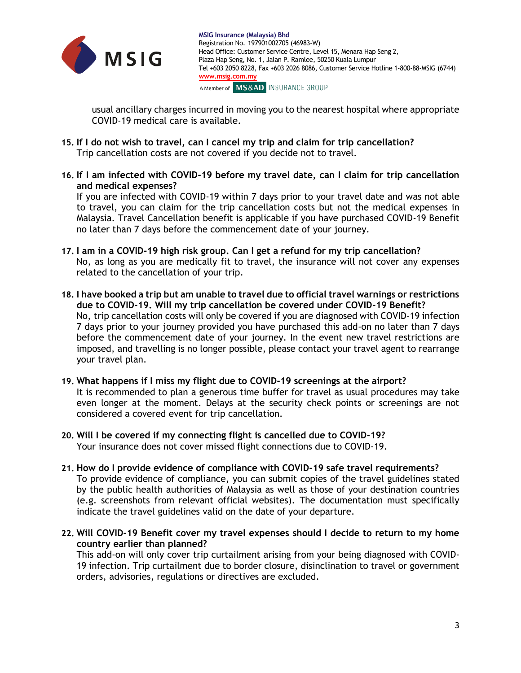

usual ancillary charges incurred in moving you to the nearest hospital where appropriate COVID-19 medical care is available.

- **15. If I do not wish to travel, can I cancel my trip and claim for trip cancellation?**  Trip cancellation costs are not covered if you decide not to travel.
- **16. If I am infected with COVID-19 before my travel date, can I claim for trip cancellation and medical expenses?**

If you are infected with COVID-19 within 7 days prior to your travel date and was not able to travel, you can claim for the trip cancellation costs but not the medical expenses in Malaysia. Travel Cancellation benefit is applicable if you have purchased COVID-19 Benefit no later than 7 days before the commencement date of your journey.

- **17. I am in a COVID-19 high risk group. Can I get a refund for my trip cancellation?** No, as long as you are medically fit to travel, the insurance will not cover any expenses related to the cancellation of your trip.
- **18. I have booked a trip but am unable to travel due to official travel warnings or restrictions due to COVID-19. Will my trip cancellation be covered under COVID-19 Benefit?** No, trip cancellation costs will only be covered if you are diagnosed with COVID-19 infection 7 days prior to your journey provided you have purchased this add-on no later than 7 days before the commencement date of your journey. In the event new travel restrictions are imposed, and travelling is no longer possible, please contact your travel agent to rearrange your travel plan.
- **19. What happens if I miss my flight due to COVID-19 screenings at the airport?** It is recommended to plan a generous time buffer for travel as usual procedures may take even longer at the moment. Delays at the security check points or screenings are not considered a covered event for trip cancellation.
- **20. Will I be covered if my connecting flight is cancelled due to COVID-19?** Your insurance does not cover missed flight connections due to COVID-19.
- **21. How do I provide evidence of compliance with COVID-19 safe travel requirements?** To provide evidence of compliance, you can submit copies of the travel guidelines stated by the public health authorities of Malaysia as well as those of your destination countries (e.g. screenshots from relevant official websites). The documentation must specifically indicate the travel guidelines valid on the date of your departure.
- **22. Will COVID-19 Benefit cover my travel expenses should I decide to return to my home country earlier than planned?**

This add-on will only cover trip curtailment arising from your being diagnosed with COVID-19 infection. Trip curtailment due to border closure, disinclination to travel or government orders, advisories, regulations or directives are excluded.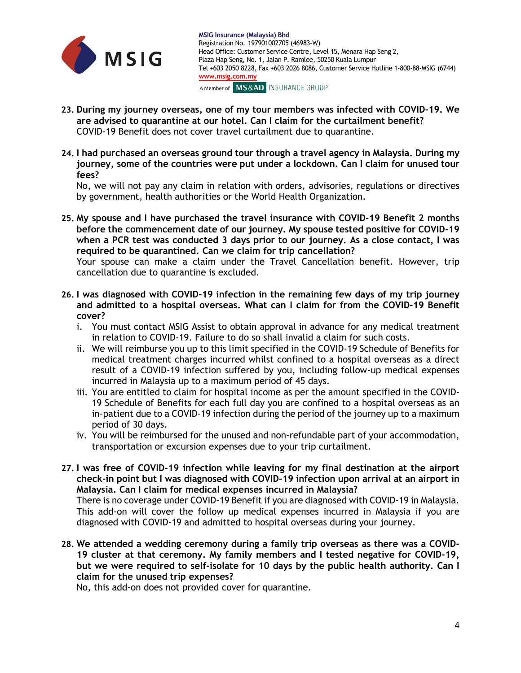

- **23. During my journey overseas, one of my tour members was infected with COVID-19. We are advised to quarantine at our hotel. Can I claim for the curtailment benefit?** COVID-19 Benefit does not cover travel curtailment due to quarantine.
- **24. I had purchased an overseas ground tour through a travel agency in Malaysia. During my journey, some of the countries were put under a lockdown. Can I claim for unused tour fees?**

No, we will not pay any claim in relation with orders, advisories, regulations or directives by government, health authorities or the World Health Organization.

**25. My spouse and I have purchased the travel insurance with COVID-19 Benefit 2 months before the commencement date of our journey. My spouse tested positive for COVID-19 when a PCR test was conducted 3 days prior to our journey. As a close contact, I was required to be quarantined. Can we claim for trip cancellation?**

Your spouse can make a claim under the Travel Cancellation benefit. However, trip cancellation due to quarantine is excluded.

- **26. I was diagnosed with COVID-19 infection in the remaining few days of my trip journey and admitted to a hospital overseas. What can I claim for from the COVID-19 Benefit cover?**
	- i. You must contact MSIG Assist to obtain approval in advance for any medical treatment in relation to COVID-19. Failure to do so shall invalid a claim for such costs.
	- ii. We will reimburse you up to this limit specified in the COVID-19 Schedule of Benefits for medical treatment charges incurred whilst confined to a hospital overseas as a direct result of a COVID-19 infection suffered by you, including follow-up medical expenses incurred in Malaysia up to a maximum period of 45 days.
	- iii. You are entitled to claim for hospital income as per the amount specified in the COVID-19 Schedule of Benefits for each full day you are confined to a hospital overseas as an in-patient due to a COVID-19 infection during the period of the journey up to a maximum period of 30 days.
	- iv. You will be reimbursed for the unused and non-refundable part of your accommodation, transportation or excursion expenses due to your trip curtailment.
- **27. I was free of COVID-19 infection while leaving for my final destination at the airport check-in point but I was diagnosed with COVID-19 infection upon arrival at an airport in Malaysia. Can I claim for medical expenses incurred in Malaysia?**

There is no coverage under COVID-19 Benefit if you are diagnosed with COVID-19 in Malaysia. This add-on will cover the follow up medical expenses incurred in Malaysia if you are diagnosed with COVID-19 and admitted to hospital overseas during your journey.

**28. We attended a wedding ceremony during a family trip overseas as there was a COVID-19 cluster at that ceremony. My family members and I tested negative for COVID-19, but we were required to self-isolate for 10 days by the public health authority. Can I claim for the unused trip expenses?**

No, this add-on does not provided cover for quarantine.